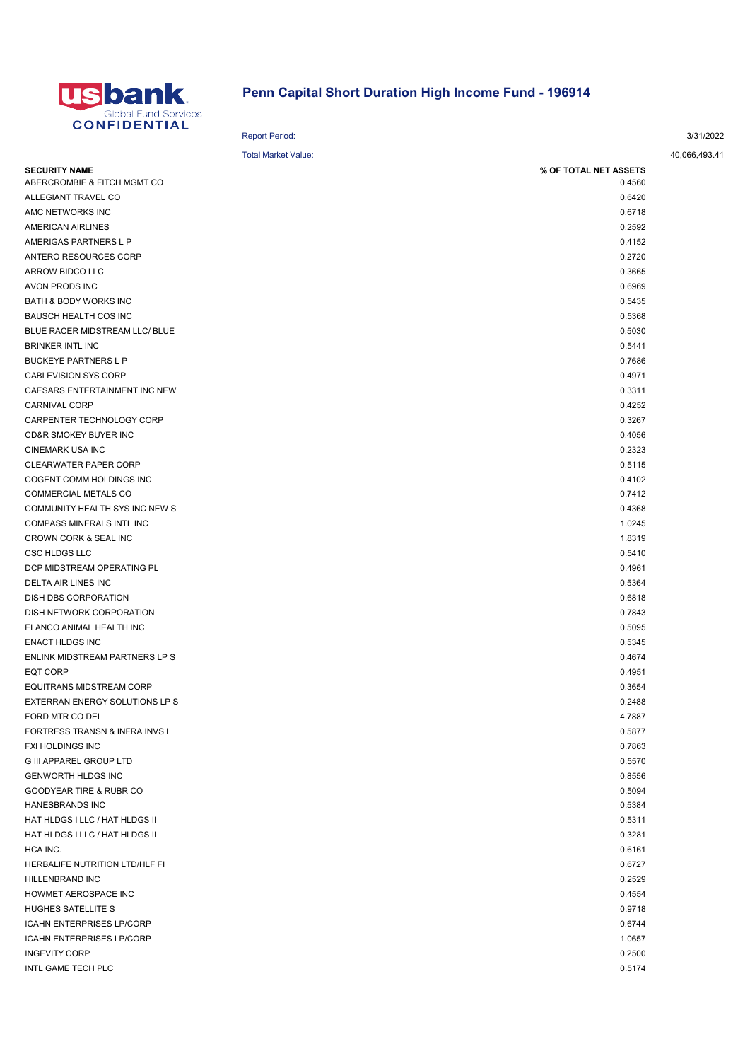

## Penn Capital Short Duration High Income Fund - 196914

| <b>CUNFIDENTIAL</b>                                |                            |               |
|----------------------------------------------------|----------------------------|---------------|
|                                                    | <b>Report Period:</b>      | 3/31/2022     |
|                                                    | <b>Total Market Value:</b> | 40,066,493.41 |
| <b>SECURITY NAME</b>                               | % OF TOTAL NET ASSETS      |               |
| ABERCROMBIE & FITCH MGMT CO<br>ALLEGIANT TRAVEL CO | 0.4560                     |               |
| AMC NETWORKS INC                                   | 0.6420<br>0.6718           |               |
|                                                    |                            |               |
| <b>AMERICAN AIRLINES</b>                           | 0.2592                     |               |
| AMERIGAS PARTNERS L P                              | 0.4152                     |               |
| ANTERO RESOURCES CORP                              | 0.2720                     |               |
| ARROW BIDCO LLC                                    | 0.3665                     |               |
| AVON PRODS INC                                     | 0.6969                     |               |
| BATH & BODY WORKS INC                              | 0.5435                     |               |
| <b>BAUSCH HEALTH COS INC</b>                       | 0.5368                     |               |
| BLUE RACER MIDSTREAM LLC/ BLUE                     | 0.5030                     |               |
| <b>BRINKER INTL INC</b>                            | 0.5441                     |               |
| <b>BUCKEYE PARTNERS L P</b>                        | 0.7686                     |               |
| <b>CABLEVISION SYS CORP</b>                        | 0.4971                     |               |
| CAESARS ENTERTAINMENT INC NEW                      | 0.3311                     |               |
| <b>CARNIVAL CORP</b>                               | 0.4252                     |               |
| CARPENTER TECHNOLOGY CORP                          | 0.3267                     |               |
| CD&R SMOKEY BUYER INC                              | 0.4056                     |               |
| <b>CINEMARK USA INC</b>                            | 0.2323                     |               |
| <b>CLEARWATER PAPER CORP</b>                       | 0.5115                     |               |
| COGENT COMM HOLDINGS INC                           | 0.4102                     |               |
| <b>COMMERCIAL METALS CO</b>                        | 0.7412                     |               |
| COMMUNITY HEALTH SYS INC NEW S                     | 0.4368                     |               |
| COMPASS MINERALS INTL INC                          | 1.0245                     |               |
| CROWN CORK & SEAL INC                              | 1.8319                     |               |
| <b>CSC HLDGS LLC</b>                               | 0.5410                     |               |
| DCP MIDSTREAM OPERATING PL                         | 0.4961                     |               |
| DELTA AIR LINES INC                                | 0.5364                     |               |
| DISH DBS CORPORATION                               | 0.6818                     |               |
| DISH NETWORK CORPORATION                           | 0.7843                     |               |
| ELANCO ANIMAL HEALTH INC                           | 0.5095                     |               |
| <b>ENACT HLDGS INC</b>                             | 0.5345                     |               |
| ENLINK MIDSTREAM PARTNERS LP S                     | 0.4674                     |               |
| EQT CORP                                           | 0.4951                     |               |
| EQUITRANS MIDSTREAM CORP                           | 0.3654                     |               |
| EXTERRAN ENERGY SOLUTIONS LP S                     | 0.2488                     |               |
| FORD MTR CO DEL                                    | 4.7887                     |               |
| FORTRESS TRANSN & INFRA INVS L                     | 0.5877                     |               |
| FXI HOLDINGS INC                                   | 0.7863                     |               |
| <b>G III APPAREL GROUP LTD</b>                     | 0.5570                     |               |
| <b>GENWORTH HLDGS INC</b>                          | 0.8556                     |               |
| GOODYEAR TIRE & RUBR CO                            | 0.5094                     |               |
| HANESBRANDS INC                                    | 0.5384                     |               |
| HAT HLDGS I LLC / HAT HLDGS II                     | 0.5311                     |               |
| HAT HLDGS I LLC / HAT HLDGS II                     | 0.3281                     |               |
| HCA INC.                                           | 0.6161                     |               |
| HERBALIFE NUTRITION LTD/HLF FI                     | 0.6727                     |               |
| HILLENBRAND INC                                    | 0.2529                     |               |
| HOWMET AEROSPACE INC                               | 0.4554                     |               |
| HUGHES SATELLITE S                                 | 0.9718                     |               |
| <b>ICAHN ENTERPRISES LP/CORP</b>                   | 0.6744                     |               |
| <b>ICAHN ENTERPRISES LP/CORP</b>                   | 1.0657                     |               |
| <b>INGEVITY CORP</b>                               | 0.2500                     |               |

INTL GAME TECH PLC  $0.5174$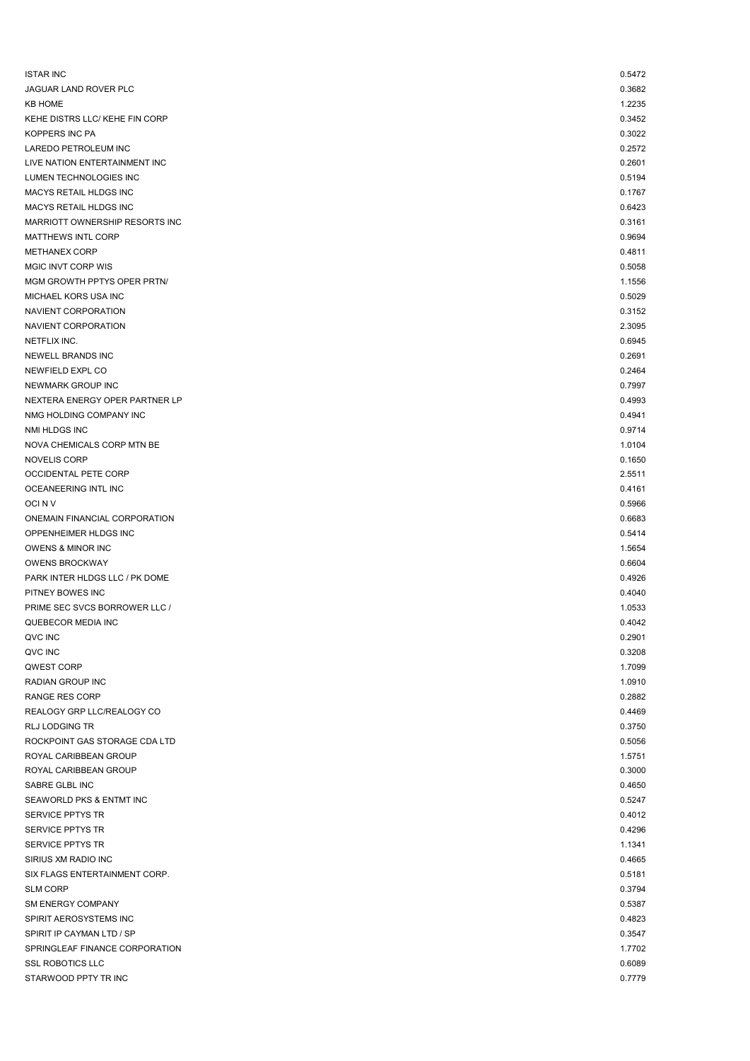| <b>ISTAR INC</b>                                    | 0.5472           |
|-----------------------------------------------------|------------------|
| JAGUAR LAND ROVER PLC                               | 0.3682           |
| <b>KB HOME</b>                                      | 1.2235           |
| KEHE DISTRS LLC/ KEHE FIN CORP                      | 0.3452           |
| KOPPERS INC PA                                      | 0.3022           |
| LAREDO PETROLEUM INC                                | 0.2572           |
| LIVE NATION ENTERTAINMENT INC                       | 0.2601           |
| LUMEN TECHNOLOGIES INC                              | 0.5194           |
| <b>MACYS RETAIL HLDGS INC</b>                       | 0.1767           |
| MACYS RETAIL HLDGS INC                              | 0.6423           |
| MARRIOTT OWNERSHIP RESORTS INC                      | 0.3161           |
| <b>MATTHEWS INTL CORP</b>                           | 0.9694           |
| <b>METHANEX CORP</b>                                | 0.4811           |
| <b>MGIC INVT CORP WIS</b>                           | 0.5058           |
| MGM GROWTH PPTYS OPER PRTN/<br>MICHAEL KORS USA INC | 1.1556<br>0.5029 |
| NAVIENT CORPORATION                                 | 0.3152           |
| NAVIENT CORPORATION                                 | 2.3095           |
| NETFLIX INC.                                        | 0.6945           |
| NEWELL BRANDS INC                                   | 0.2691           |
| NEWFIELD EXPL CO                                    | 0.2464           |
| NEWMARK GROUP INC                                   | 0.7997           |
| NEXTERA ENERGY OPER PARTNER LP                      | 0.4993           |
| NMG HOLDING COMPANY INC                             | 0.4941           |
| NMI HLDGS INC                                       | 0.9714           |
| NOVA CHEMICALS CORP MTN BE                          | 1.0104           |
| <b>NOVELIS CORP</b>                                 | 0.1650           |
| OCCIDENTAL PETE CORP                                | 2.5511           |
| OCEANEERING INTL INC                                | 0.4161           |
| OCI N V                                             | 0.5966           |
| ONEMAIN FINANCIAL CORPORATION                       | 0.6683           |
| OPPENHEIMER HLDGS INC                               | 0.5414           |
| OWENS & MINOR INC                                   | 1.5654           |
| <b>OWENS BROCKWAY</b>                               | 0.6604           |
| PARK INTER HLDGS LLC / PK DOME                      | 0.4926           |
| PITNEY BOWES INC                                    | 0.4040           |
| PRIME SEC SVCS BORROWER LLC /                       | 1.0533           |
| QUEBECOR MEDIA INC                                  | 0.4042           |
| QVC INC                                             | 0.2901           |
| QVC INC                                             | 0.3208           |
| QWEST CORP                                          | 1.7099           |
| RADIAN GROUP INC                                    | 1.0910           |
| RANGE RES CORP                                      | 0.2882           |
| REALOGY GRP LLC/REALOGY CO                          | 0.4469           |
| <b>RLJ LODGING TR</b>                               | 0.3750           |
| ROCKPOINT GAS STORAGE CDA LTD                       | 0.5056           |
| ROYAL CARIBBEAN GROUP                               | 1.5751           |
| ROYAL CARIBBEAN GROUP                               | 0.3000           |
| SABRE GLBL INC                                      | 0.4650           |
| SEAWORLD PKS & ENTMT INC                            | 0.5247           |
| SERVICE PPTYS TR                                    | 0.4012           |
| SERVICE PPTYS TR                                    | 0.4296           |
| SERVICE PPTYS TR                                    | 1.1341           |
| SIRIUS XM RADIO INC                                 | 0.4665           |
| SIX FLAGS ENTERTAINMENT CORP.                       | 0.5181           |
| <b>SLM CORP</b>                                     | 0.3794           |
| <b>SM ENERGY COMPANY</b>                            | 0.5387           |
| SPIRIT AEROSYSTEMS INC                              | 0.4823           |
| SPIRIT IP CAYMAN LTD / SP                           | 0.3547           |
| SPRINGLEAF FINANCE CORPORATION                      | 1.7702           |
| <b>SSL ROBOTICS LLC</b>                             | 0.6089           |
| STARWOOD PPTY TR INC                                | 0.7779           |